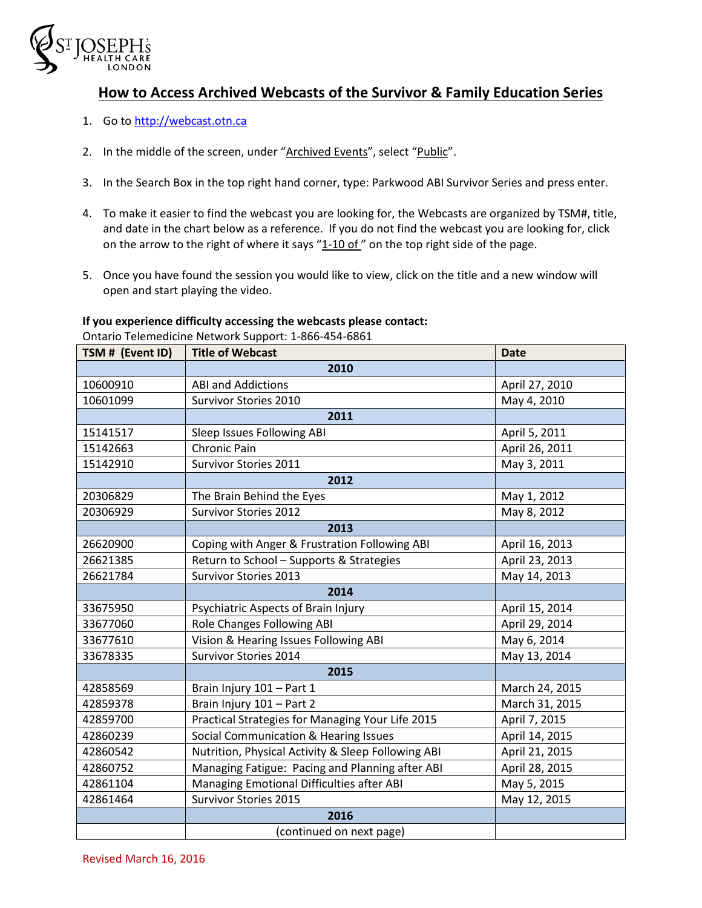

## **How to Access Archived Webcasts of the Survivor & Family Education Series**

- 1. Go to [http://webcast.otn.ca](http://webcast.otn.ca/)
- 2. In the middle of the screen, under "Archived Events", select "Public".
- 3. In the Search Box in the top right hand corner, type: Parkwood ABI Survivor Series and press enter.
- 4. To make it easier to find the webcast you are looking for, the Webcasts are organized by TSM#, title, and date in the chart below as a reference. If you do not find the webcast you are looking for, click on the arrow to the right of where it says " $1-10$  of " on the top right side of the page.
- 5. Once you have found the session you would like to view, click on the title and a new window will open and start playing the video.

## **If you experience difficulty accessing the webcasts please contact:**

Ontario Telemedicine Network Support: 1-866-454-6861

| TSM # (Event ID) | <b>Title of Webcast</b>                            | <b>Date</b>    |
|------------------|----------------------------------------------------|----------------|
|                  | 2010                                               |                |
| 10600910         | <b>ABI and Addictions</b>                          | April 27, 2010 |
| 10601099         | Survivor Stories 2010                              | May 4, 2010    |
|                  | 2011                                               |                |
| 15141517         | Sleep Issues Following ABI                         | April 5, 2011  |
| 15142663         | Chronic Pain                                       | April 26, 2011 |
| 15142910         | Survivor Stories 2011                              | May 3, 2011    |
|                  | 2012                                               |                |
| 20306829         | The Brain Behind the Eyes                          | May 1, 2012    |
| 20306929         | <b>Survivor Stories 2012</b>                       | May 8, 2012    |
|                  | 2013                                               |                |
| 26620900         | Coping with Anger & Frustration Following ABI      | April 16, 2013 |
| 26621385         | Return to School - Supports & Strategies           | April 23, 2013 |
| 26621784         | <b>Survivor Stories 2013</b>                       | May 14, 2013   |
|                  | 2014                                               |                |
| 33675950         | Psychiatric Aspects of Brain Injury                | April 15, 2014 |
| 33677060         | Role Changes Following ABI                         | April 29, 2014 |
| 33677610         | Vision & Hearing Issues Following ABI              | May 6, 2014    |
| 33678335         | <b>Survivor Stories 2014</b>                       | May 13, 2014   |
|                  | 2015                                               |                |
| 42858569         | Brain Injury 101 - Part 1                          | March 24, 2015 |
| 42859378         | Brain Injury 101 - Part 2                          | March 31, 2015 |
| 42859700         | Practical Strategies for Managing Your Life 2015   | April 7, 2015  |
| 42860239         | Social Communication & Hearing Issues              | April 14, 2015 |
| 42860542         | Nutrition, Physical Activity & Sleep Following ABI | April 21, 2015 |
| 42860752         | Managing Fatigue: Pacing and Planning after ABI    | April 28, 2015 |
| 42861104         | Managing Emotional Difficulties after ABI          | May 5, 2015    |
| 42861464         | <b>Survivor Stories 2015</b>                       | May 12, 2015   |
|                  | 2016                                               |                |
|                  | (continued on next page)                           |                |